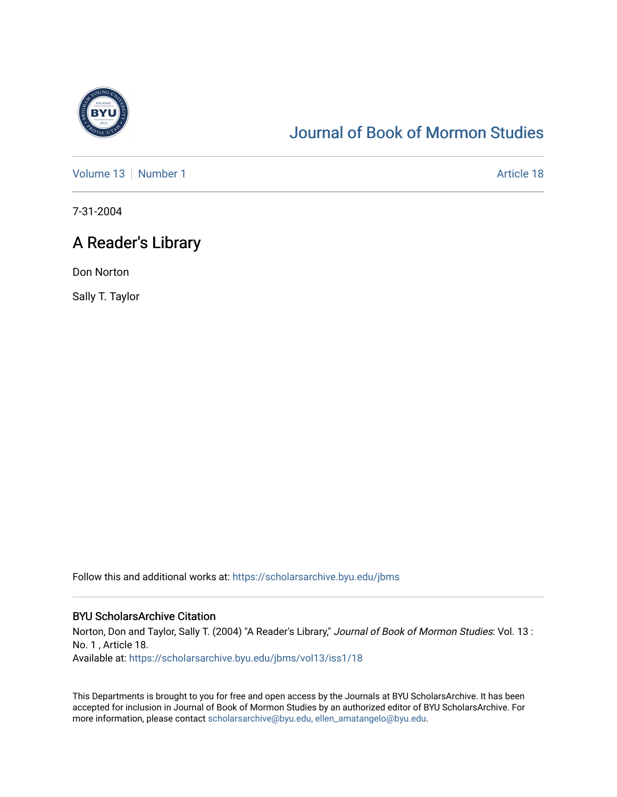

# [Journal of Book of Mormon Studies](https://scholarsarchive.byu.edu/jbms)

[Volume 13](https://scholarsarchive.byu.edu/jbms/vol13) [Number 1](https://scholarsarchive.byu.edu/jbms/vol13/iss1) Article 18

7-31-2004

## A Reader's Library

Don Norton

Sally T. Taylor

Follow this and additional works at: [https://scholarsarchive.byu.edu/jbms](https://scholarsarchive.byu.edu/jbms?utm_source=scholarsarchive.byu.edu%2Fjbms%2Fvol13%2Fiss1%2F18&utm_medium=PDF&utm_campaign=PDFCoverPages) 

### BYU ScholarsArchive Citation

Norton, Don and Taylor, Sally T. (2004) "A Reader's Library," Journal of Book of Mormon Studies: Vol. 13 : No. 1 , Article 18. Available at: [https://scholarsarchive.byu.edu/jbms/vol13/iss1/18](https://scholarsarchive.byu.edu/jbms/vol13/iss1/18?utm_source=scholarsarchive.byu.edu%2Fjbms%2Fvol13%2Fiss1%2F18&utm_medium=PDF&utm_campaign=PDFCoverPages)

This Departments is brought to you for free and open access by the Journals at BYU ScholarsArchive. It has been accepted for inclusion in Journal of Book of Mormon Studies by an authorized editor of BYU ScholarsArchive. For more information, please contact [scholarsarchive@byu.edu, ellen\\_amatangelo@byu.edu.](mailto:scholarsarchive@byu.edu,%20ellen_amatangelo@byu.edu)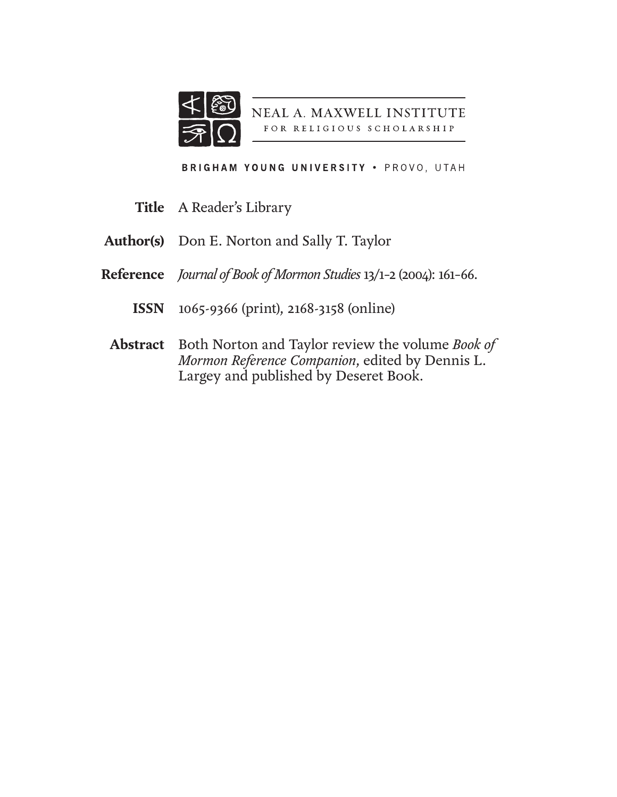

NEAL A. MAXWELL INSTITUTE FOR RELIGIOUS SCHOLARSHIP

BRIGHAM YOUNG UNIVERSITY . PROVO, UTAH

- A Reader's Library **Title**
- Don E. Norton and Sally T. Taylor **Author(s)**
- *Journal of Book of Mormon Studies* 13/1–2 (2004): 161–66. **Reference**
	- 1065-9366 (print), 2168-3158 (online) **ISSN**
	- Both Norton and Taylor review the volume *Book of Mormon Reference Companion*, edited by Dennis L. Largey and published by Deseret Book. **Abstract**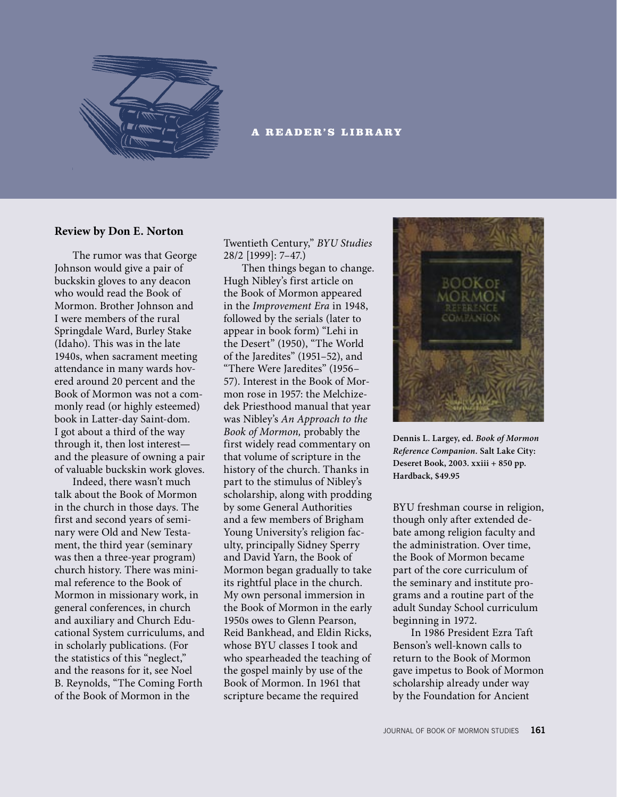

#### A READER'S LIBRARY

#### **Review by Don E. Norton**

The rumor was that George Johnson would give a pair of buckskin gloves to any deacon who would read the Book of Mormon. Brother Johnson and I were members of the rural Springdale Ward, Burley Stake (Idaho). This was in the late 1940s, when sacrament meeting attendance in many wards hovered around 20 percent and the Book of Mormon was not a commonly read (or highly esteemed) book in Latter-day Saint-dom. I got about a third of the way through it, then lost interest and the pleasure of owning a pair of valuable buckskin work gloves.

Indeed, there wasn't much talk about the Book of Mormon in the church in those days. The first and second years of seminary were Old and New Testament, the third year (seminary was then a three-year program) church history. There was minimal reference to the Book of Mormon in missionary work, in general conferences, in church and auxiliary and Church Educational System curriculums, and in scholarly publications. (For the statistics of this "neglect," and the reasons for it, see Noel B. Reynolds, "The Coming Forth of the Book of Mormon in the

Twentieth Century," *BYU Studies*  28/2 [1999]: 7–47.)

Then things began to change. Hugh Nibley's first article on the Book of Mormon appeared in the *Improvement Era* in 1948, followed by the serials (later to appear in book form) "Lehi in the Desert" (1950), "The World of the Jaredites" (1951–52), and "There Were Jaredites" (1956– 57). Interest in the Book of Mormon rose in 1957: the Melchizedek Priesthood manual that year was Nibley's *An Approach to the Book of Mormon,* probably the first widely read commentary on that volume of scripture in the history of the church. Thanks in part to the stimulus of Nibley's scholarship, along with prodding by some General Authorities and a few members of Brigham Young University's religion faculty, principally Sidney Sperry and David Yarn, the Book of Mormon began gradually to take its rightful place in the church. My own personal immersion in the Book of Mormon in the early 1950s owes to Glenn Pearson, Reid Bankhead, and Eldin Ricks, whose BYU classes I took and who spearheaded the teaching of the gospel mainly by use of the Book of Mormon. In 1961 that scripture became the required



**Dennis L. Largey, ed.** *Book of Mormon Reference Companion.* **Salt Lake City: Deseret Book, 2003. xxiii + 850 pp. Hardback, \$49.95**

BYU freshman course in religion, though only after extended debate among religion faculty and the administration. Over time, the Book of Mormon became part of the core curriculum of the seminary and institute programs and a routine part of the adult Sunday School curriculum beginning in 1972.

In 1986 President Ezra Taft Benson's well-known calls to return to the Book of Mormon gave impetus to Book of Mormon scholarship already under way by the Foundation for Ancient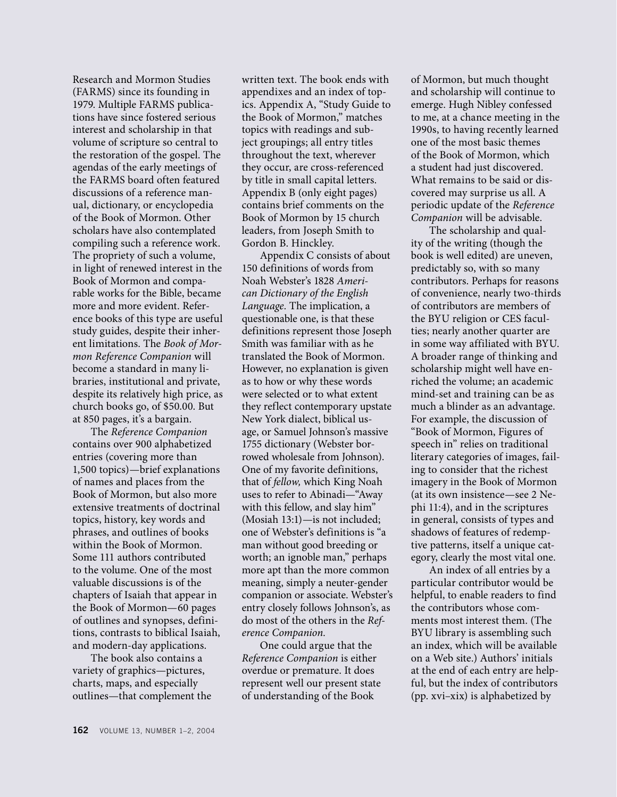Research and Mormon Studies (FARMS) since its founding in 1979. Multiple FARMS publications have since fostered serious interest and scholarship in that volume of scripture so central to the restoration of the gospel. The agendas of the early meetings of the FARMS board often featured discussions of a reference manual, dictionary, or encyclopedia of the Book of Mormon. Other scholars have also contemplated compiling such a reference work. The propriety of such a volume, in light of renewed interest in the Book of Mormon and comparable works for the Bible, became more and more evident. Reference books of this type are useful study guides, despite their inherent limitations. The *Book of Mormon Reference Companion* will become a standard in many libraries, institutional and private, despite its relatively high price, as church books go, of \$50.00. But at 850 pages, it's a bargain.

The *Reference Companion*  contains over 900 alphabetized entries (covering more than 1,500 topics)—brief explanations of names and places from the Book of Mormon, but also more extensive treatments of doctrinal topics, history, key words and phrases, and outlines of books within the Book of Mormon. Some 111 authors contributed to the volume. One of the most valuable discussions is of the chapters of Isaiah that appear in the Book of Mormon—60 pages of outlines and synopses, definitions, contrasts to biblical Isaiah, and modern-day applications.

The book also contains a variety of graphics—pictures, charts, maps, and especially outlines—that complement the

written text. The book ends with appendixes and an index of topics. Appendix A, "Study Guide to the Book of Mormon," matches topics with readings and subject groupings; all entry titles throughout the text, wherever they occur, are cross-referenced by title in small capital letters. Appendix B (only eight pages) contains brief comments on the Book of Mormon by 15 church leaders, from Joseph Smith to Gordon B. Hinckley.

Appendix C consists of about 150 definitions of words from Noah Webster's 1828 *American Dictionary of the English Language.* The implication, a questionable one, is that these definitions represent those Joseph Smith was familiar with as he translated the Book of Mormon. However, no explanation is given as to how or why these words were selected or to what extent they reflect contemporary upstate New York dialect, biblical usage, or Samuel Johnson's massive 1755 dictionary (Webster borrowed wholesale from Johnson). One of my favorite definitions, that of *fellow,* which King Noah uses to refer to Abinadi—"Away with this fellow, and slay him" (Mosiah 13:1)—is not included; one of Webster's definitions is "a man without good breeding or worth; an ignoble man," perhaps more apt than the more common meaning, simply a neuter-gender companion or associate. Webster's entry closely follows Johnson's, as do most of the others in the *Reference Companion.*

One could argue that the *Reference Companion* is either overdue or premature. It does represent well our present state of understanding of the Book

of Mormon, but much thought and scholarship will continue to emerge. Hugh Nibley confessed to me, at a chance meeting in the 1990s, to having recently learned one of the most basic themes of the Book of Mormon, which a student had just discovered. What remains to be said or discovered may surprise us all. A periodic update of the *Reference Companion* will be advisable.

The scholarship and quality of the writing (though the book is well edited) are uneven, predictably so, with so many contributors. Perhaps for reasons of convenience, nearly two-thirds of contributors are members of the BYU religion or CES faculties; nearly another quarter are in some way affiliated with BYU. A broader range of thinking and scholarship might well have enriched the volume; an academic mind-set and training can be as much a blinder as an advantage. For example, the discussion of "Book of Mormon, Figures of speech in" relies on traditional literary categories of images, failing to consider that the richest imagery in the Book of Mormon (at its own insistence—see 2 Nephi 11:4), and in the scriptures in general, consists of types and shadows of features of redemptive patterns, itself a unique category, clearly the most vital one.

An index of all entries by a particular contributor would be helpful, to enable readers to find the contributors whose comments most interest them. (The BYU library is assembling such an index, which will be available on a Web site.) Authors' initials at the end of each entry are helpful, but the index of contributors (pp. xvi–xix) is alphabetized by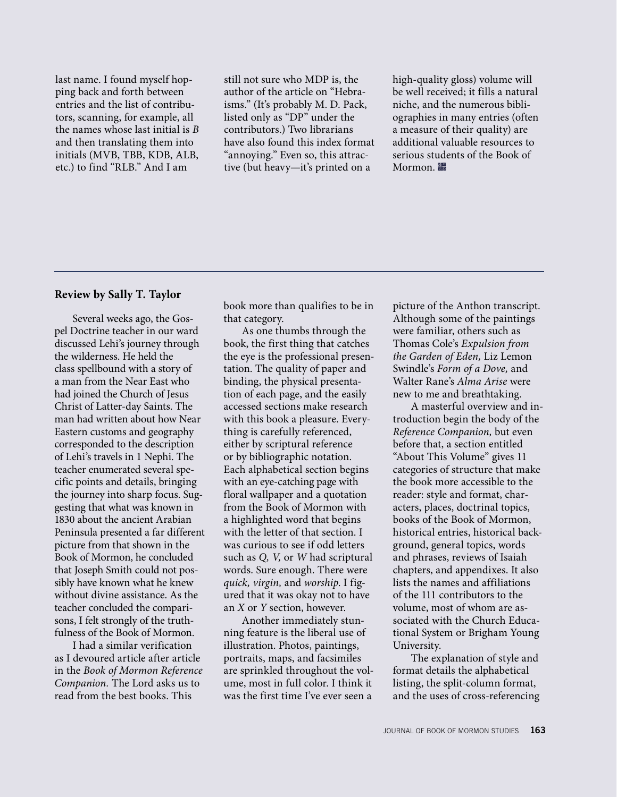last name. I found myself hopping back and forth between entries and the list of contributors, scanning, for example, all the names whose last initial is *B* and then translating them into initials (MVB, TBB, KDB, ALB, etc.) to find "RLB." And I am

still not sure who MDP is, the author of the article on "Hebraisms." (It's probably M. D. Pack, listed only as "DP" under the contributors.) Two librarians have also found this index format "annoying." Even so, this attractive (but heavy—it's printed on a

high-quality gloss) volume will be well received; it fills a natural niche, and the numerous bibliographies in many entries (often a measure of their quality) are additional valuable resources to serious students of the Book of Mormon.

#### **Review by Sally T. Taylor**

Several weeks ago, the Gospel Doctrine teacher in our ward discussed Lehi's journey through the wilderness. He held the class spellbound with a story of a man from the Near East who had joined the Church of Jesus Christ of Latter-day Saints. The man had written about how Near Eastern customs and geography corresponded to the description of Lehi's travels in 1 Nephi. The teacher enumerated several specific points and details, bringing the journey into sharp focus. Suggesting that what was known in 1830 about the ancient Arabian Peninsula presented a far different picture from that shown in the Book of Mormon, he concluded that Joseph Smith could not possibly have known what he knew without divine assistance. As the teacher concluded the comparisons, I felt strongly of the truthfulness of the Book of Mormon.

I had a similar verification as I devoured article after article in the *Book of Mormon Reference Companion.* The Lord asks us to read from the best books. This

book more than qualifies to be in that category.

As one thumbs through the book, the first thing that catches the eye is the professional presentation. The quality of paper and binding, the physical presentation of each page, and the easily accessed sections make research with this book a pleasure. Everything is carefully referenced, either by scriptural reference or by bibliographic notation. Each alphabetical section begins with an eye-catching page with floral wallpaper and a quotation from the Book of Mormon with a highlighted word that begins with the letter of that section. I was curious to see if odd letters such as *Q, V,* or *W* had scriptural words. Sure enough. There were *quick, virgin,* and *worship*. I figured that it was okay not to have an *X* or *Y* section, however.

Another immediately stunning feature is the liberal use of illustration. Photos, paintings, portraits, maps, and facsimiles are sprinkled throughout the volume, most in full color. I think it was the first time I've ever seen a

picture of the Anthon transcript. Although some of the paintings were familiar, others such as Thomas Cole's *Expulsion from the Garden of Eden,* Liz Lemon Swindle's *Form of a Dove,* and Walter Rane's *Alma Arise* were new to me and breathtaking.

A masterful overview and introduction begin the body of the *Reference Companion,* but even before that, a section entitled "About This Volume" gives 11 categories of structure that make the book more accessible to the reader: style and format, characters, places, doctrinal topics, books of the Book of Mormon, historical entries, historical background, general topics, words and phrases, reviews of Isaiah chapters, and appendixes. It also lists the names and affiliations of the 111 contributors to the volume, most of whom are associated with the Church Educational System or Brigham Young University.

The explanation of style and format details the alphabetical listing, the split-column format, and the uses of cross-referencing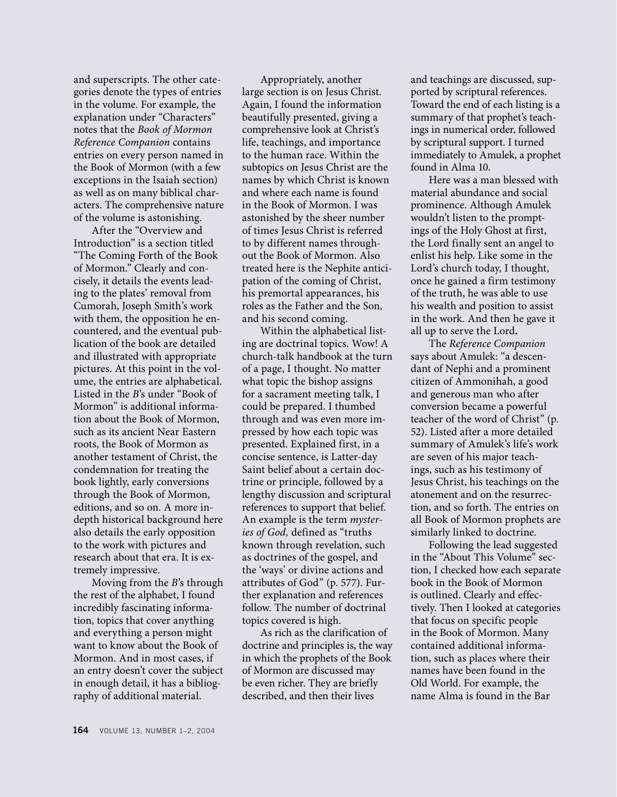and superscripts. The other categories denote the types of entries in the volume. For example, the explanation under "Characters" notes that the *Book of Mormon Reference Companion* contains entries on every person named in the Book of Mormon (with a few exceptions in the Isaiah section) as well as on many biblical characters. The comprehensive nature of the volume is astonishing.

After the "Overview and Introduction" is a section titled "The Coming Forth of the Book of Mormon." Clearly and concisely, it details the events leading to the plates' removal from Cumorah, Joseph Smith's work with them, the opposition he encountered, and the eventual publication of the book are detailed and illustrated with appropriate pictures. At this point in the volume, the entries are alphabetical. Listed in the *B*'s under "Book of Mormon" is additional information about the Book of Mormon, such as its ancient Near Eastern roots, the Book of Mormon as another testament of Christ, the condemnation for treating the book lightly, early conversions through the Book of Mormon, editions, and so on. A more indepth historical background here also details the early opposition to the work with pictures and research about that era. It is extremely impressive.

Moving from the *B*'s through the rest of the alphabet, I found incredibly fascinating information, topics that cover anything and everything a person might want to know about the Book of Mormon. And in most cases, if an entry doesn't cover the subject in enough detail, it has a bibliography of additional material.

Appropriately, another large section is on Jesus Christ. Again, I found the information beautifully presented, giving a comprehensive look at Christ's life, teachings, and importance to the human race. Within the subtopics on Jesus Christ are the names by which Christ is known and where each name is found in the Book of Mormon. I was astonished by the sheer number of times Jesus Christ is referred to by different names throughout the Book of Mormon. Also treated here is the Nephite anticipation of the coming of Christ, his premortal appearances, his roles as the Father and the Son, and his second coming.

Within the alphabetical listing are doctrinal topics. Wow! A church-talk handbook at the turn of a page, I thought. No matter what topic the bishop assigns for a sacrament meeting talk, I could be prepared. I thumbed through and was even more impressed by how each topic was presented. Explained first, in a concise sentence, is Latter-day Saint belief about a certain doctrine or principle, followed by a lengthy discussion and scriptural references to support that belief. An example is the term *mysteries of God,* defined as "truths known through revelation, such as doctrines of the gospel, and the 'ways' or divine actions and attributes of God" (p. 577). Further explanation and references follow. The number of doctrinal topics covered is high.

As rich as the clarification of doctrine and principles is, the way in which the prophets of the Book of Mormon are discussed may be even richer. They are briefly described, and then their lives

and teachings are discussed, supported by scriptural references. Toward the end of each listing is a summary of that prophet's teachings in numerical order, followed by scriptural support. I turned immediately to Amulek, a prophet found in Alma 10.

Here was a man blessed with material abundance and social prominence. Although Amulek wouldn't listen to the promptings of the Holy Ghost at first, the Lord finally sent an angel to enlist his help. Like some in the Lord's church today, I thought, once he gained a firm testimony of the truth, he was able to use his wealth and position to assist in the work. And then he gave it all up to serve the Lord**.** 

The *Reference Companion* says about Amulek: "a descendant of Nephi and a prominent citizen of Ammonihah, a good and generous man who after conversion became a powerful teacher of the word of Christ" (p. 52). Listed after a more detailed summary of Amulek's life's work are seven of his major teachings, such as his testimony of Jesus Christ, his teachings on the atonement and on the resurrection, and so forth. The entries on all Book of Mormon prophets are similarly linked to doctrine.

Following the lead suggested in the "About This Volume" section, I checked how each separate book in the Book of Mormon is outlined. Clearly and effectively. Then I looked at categories that focus on specific people in the Book of Mormon. Many contained additional information, such as places where their names have been found in the Old World. For example, the name Alma is found in the Bar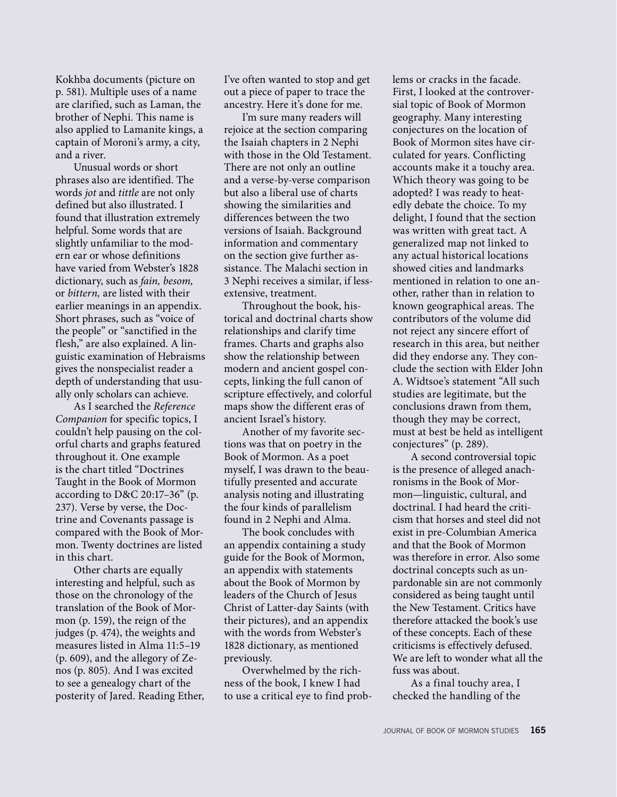Kokhba documents (picture on p. 581). Multiple uses of a name are clarified, such as Laman, the brother of Nephi. This name is also applied to Lamanite kings, a captain of Moroni's army, a city, and a river.

Unusual words or short phrases also are identified. The words *jot* and *tittle* are not only defined but also illustrated. I found that illustration extremely helpful. Some words that are slightly unfamiliar to the modern ear or whose definitions have varied from Webster's 1828 dictionary, such as *fain, besom,* or *bittern,* are listed with their earlier meanings in an appendix. Short phrases, such as "voice of the people" or "sanctified in the flesh," are also explained. A linguistic examination of Hebraisms gives the nonspecialist reader a depth of understanding that usually only scholars can achieve.

As I searched the *Reference Companion* for specific topics, I couldn't help pausing on the colorful charts and graphs featured throughout it. One example is the chart titled "Doctrines Taught in the Book of Mormon according to D&C 20:17–36" (p. 237). Verse by verse, the Doctrine and Covenants passage is compared with the Book of Mormon. Twenty doctrines are listed in this chart.

Other charts are equally interesting and helpful, such as those on the chronology of the translation of the Book of Mormon (p. 159), the reign of the judges (p. 474), the weights and measures listed in Alma 11:5–19 (p. 609), and the allegory of Zenos (p. 805). And I was excited to see a genealogy chart of the posterity of Jared. Reading Ether, I've often wanted to stop and get out a piece of paper to trace the ancestry. Here it's done for me.

I'm sure many readers will rejoice at the section comparing the Isaiah chapters in 2 Nephi with those in the Old Testament. There are not only an outline and a verse-by-verse comparison but also a liberal use of charts showing the similarities and differences between the two versions of Isaiah. Background information and commentary on the section give further assistance. The Malachi section in 3 Nephi receives a similar, if lessextensive, treatment.

Throughout the book, historical and doctrinal charts show relationships and clarify time frames. Charts and graphs also show the relationship between modern and ancient gospel concepts, linking the full canon of scripture effectively, and colorful maps show the different eras of ancient Israel's history.

Another of my favorite sections was that on poetry in the Book of Mormon. As a poet myself, I was drawn to the beautifully presented and accurate analysis noting and illustrating the four kinds of parallelism found in 2 Nephi and Alma.

The book concludes with an appendix containing a study guide for the Book of Mormon, an appendix with statements about the Book of Mormon by leaders of the Church of Jesus Christ of Latter-day Saints (with their pictures), and an appendix with the words from Webster's 1828 dictionary, as mentioned previously.

Overwhelmed by the richness of the book, I knew I had to use a critical eye to find problems or cracks in the facade. First, I looked at the controversial topic of Book of Mormon geography. Many interesting conjectures on the location of Book of Mormon sites have circulated for years. Conflicting accounts make it a touchy area. Which theory was going to be adopted? I was ready to heatedly debate the choice. To my delight, I found that the section was written with great tact. A generalized map not linked to any actual historical locations showed cities and landmarks mentioned in relation to one another, rather than in relation to known geographical areas. The contributors of the volume did not reject any sincere effort of research in this area, but neither did they endorse any. They conclude the section with Elder John A. Widtsoe's statement "All such studies are legitimate, but the conclusions drawn from them, though they may be correct, must at best be held as intelligent conjectures" (p. 289).

A second controversial topic is the presence of alleged anachronisms in the Book of Mormon—linguistic, cultural, and doctrinal. I had heard the criticism that horses and steel did not exist in pre-Columbian America and that the Book of Mormon was therefore in error. Also some doctrinal concepts such as unpardonable sin are not commonly considered as being taught until the New Testament. Critics have therefore attacked the book's use of these concepts. Each of these criticisms is effectively defused. We are left to wonder what all the fuss was about.

As a final touchy area, I checked the handling of the